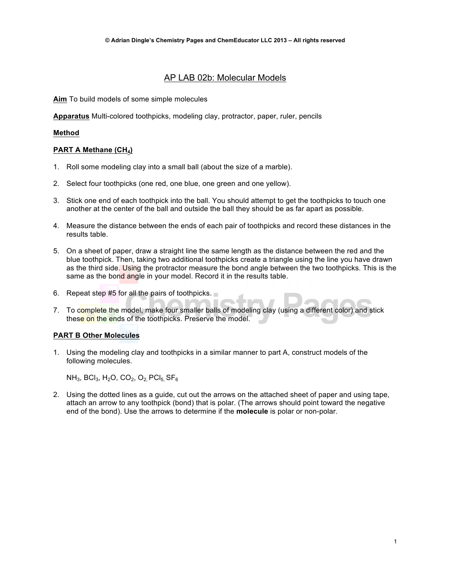# AP LAB 02b: Molecular Models

**Aim** To build models of some simple molecules

**Apparatus** Multi-colored toothpicks, modeling clay, protractor, paper, ruler, pencils

### **Method**

### **PART A Methane (CH4)**

- 1. Roll some modeling clay into a small ball (about the size of a marble).
- 2. Select four toothpicks (one red, one blue, one green and one yellow).
- 3. Stick one end of each toothpick into the ball. You should attempt to get the toothpicks to touch one another at the center of the ball and outside the ball they should be as far apart as possible.
- 4. Measure the distance between the ends of each pair of toothpicks and record these distances in the results table.
- 5. On a sheet of paper, draw a straight line the same length as the distance between the red and the blue toothpick. Then, taking two additional toothpicks create a triangle using the line you have drawn as the third side. Using the protractor measure the bond angle between the two toothpicks. This is the same as the bond angle in your model. Record it in the results table.
- 6. Repeat step #5 for all the pairs of toothpicks.
- 7. To complete the model, make four smaller balls of modeling clay (using a different color) and stick these on the ends of the toothpicks. Preserve the model.

# **PART B Other Molecules**

1. Using the modeling clay and toothpicks in a similar manner to part A, construct models of the following molecules.

 $NH_3$ , BCl<sub>3</sub>, H<sub>2</sub>O, CO<sub>2</sub>, O<sub>2</sub> PCl<sub>5</sub> SF<sub>6</sub>

2. Using the dotted lines as a guide, cut out the arrows on the attached sheet of paper and using tape, attach an arrow to any toothpick (bond) that is polar. (The arrows should point toward the negative end of the bond). Use the arrows to determine if the **molecule** is polar or non-polar.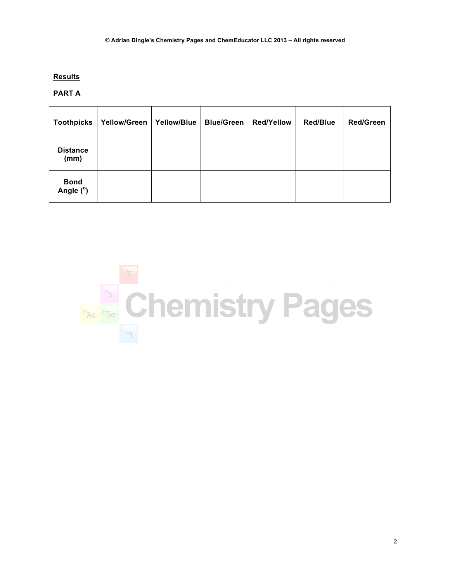# **Results**

# **PART A**

| <b>Toothpicks</b>        | <b>Yellow/Green</b> | Yellow/Blue | <b>Blue/Green</b> | <b>Red/Yellow</b> | <b>Red/Blue</b> | <b>Red/Green</b> |
|--------------------------|---------------------|-------------|-------------------|-------------------|-----------------|------------------|
| <b>Distance</b><br>(mm)  |                     |             |                   |                   |                 |                  |
| <b>Bond</b><br>Angle (°) |                     |             |                   |                   |                 |                  |

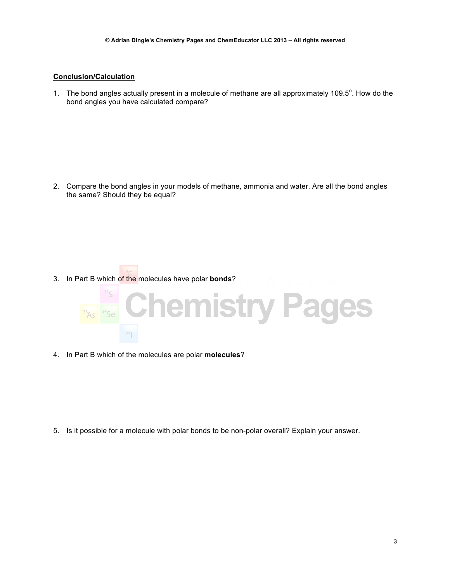#### **Conclusion/Calculation**

1. The bond angles actually present in a molecule of methane are all approximately 109.5 $^{\circ}$ . How do the bond angles you have calculated compare?

2. Compare the bond angles in your models of methane, ammonia and water. Are all the bond angles the same? Should they be equal?

3. In Part B which of the molecules have polar **bonds**?



4. In Part B which of the molecules are polar **molecules**?

5. Is it possible for a molecule with polar bonds to be non-polar overall? Explain your answer.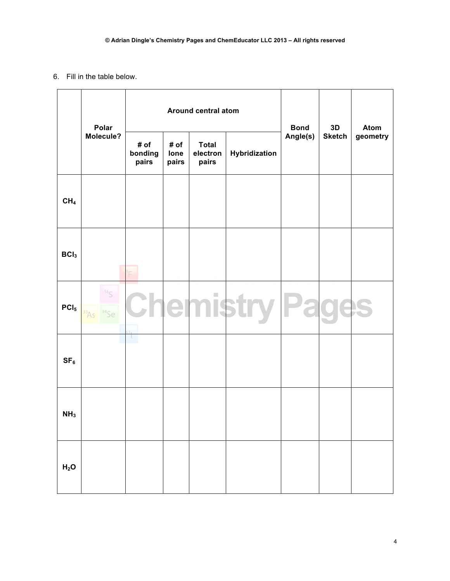### 6. Fill in the table below.

|                  | Polar               | Around central atom      |                       |                                   |               | <b>Bond</b> | 3D            | <b>Atom</b> |
|------------------|---------------------|--------------------------|-----------------------|-----------------------------------|---------------|-------------|---------------|-------------|
|                  | Molecule?           | # of<br>bonding<br>pairs | # of<br>lone<br>pairs | <b>Total</b><br>electron<br>pairs | Hybridization | Angle(s)    | <b>Sketch</b> | geometry    |
| CH <sub>4</sub>  |                     |                          |                       |                                   |               |             |               |             |
| BCI <sub>3</sub> |                     |                          |                       |                                   |               |             |               |             |
| PCI <sub>5</sub> | 165<br>3456<br>33A5 |                          | e                     | ш                                 |               |             |               |             |
| SF <sub>6</sub>  |                     | и.                       |                       |                                   |               |             |               |             |
| NH <sub>3</sub>  |                     |                          |                       |                                   |               |             |               |             |
| H <sub>2</sub> O |                     |                          |                       |                                   |               |             |               |             |